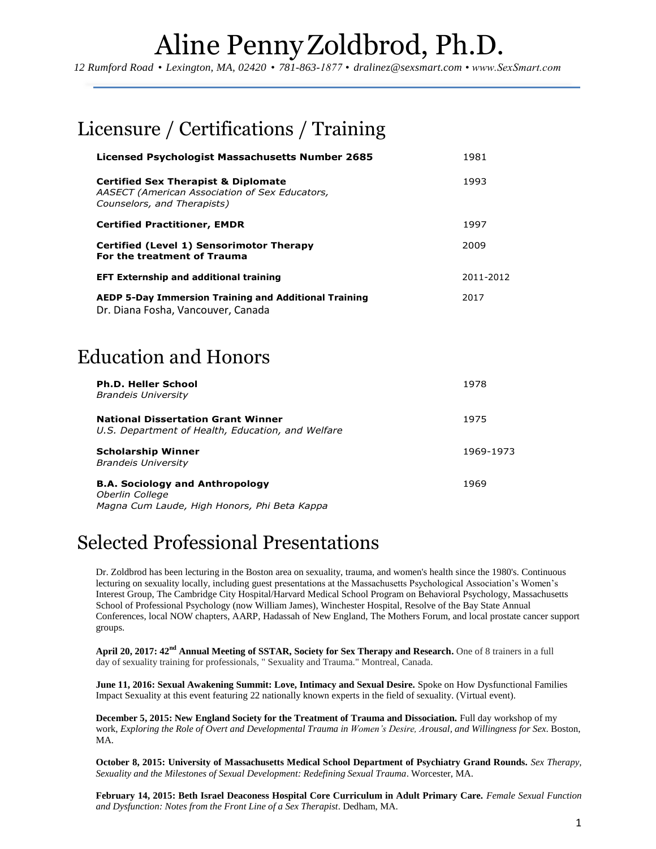*12 Rumford Road • Lexington, MA, 02420 • 781-863-1877 • [dralinez@sexsmart.com](mailto:mslovin@gmail.com) • www.SexSmart.com*

### Licensure / Certifications / Training

| <b>Licensed Psychologist Massachusetts Number 2685</b>                                                                          | 1981      |
|---------------------------------------------------------------------------------------------------------------------------------|-----------|
| <b>Certified Sex Therapist &amp; Diplomate</b><br>AASECT (American Association of Sex Educators,<br>Counselors, and Therapists) | 1993      |
| <b>Certified Practitioner, EMDR</b>                                                                                             | 1997      |
| Certified (Level 1) Sensorimotor Therapy<br>For the treatment of Trauma                                                         | 2009      |
| <b>EFT Externship and additional training</b>                                                                                   | 2011-2012 |
| <b>AEDP 5-Day Immersion Training and Additional Training</b><br>Dr. Diana Fosha, Vancouver, Canada                              | 2017      |

### Education and Honors

| <b>Ph.D. Heller School</b><br><b>Brandeis University</b>                                                  | 1978      |
|-----------------------------------------------------------------------------------------------------------|-----------|
| <b>National Dissertation Grant Winner</b><br>U.S. Department of Health, Education, and Welfare            | 1975      |
| <b>Scholarship Winner</b><br><b>Brandeis University</b>                                                   | 1969-1973 |
| <b>B.A. Sociology and Anthropology</b><br>Oberlin College<br>Magna Cum Laude, High Honors, Phi Beta Kappa | 1969      |

#### Selected Professional Presentations

Dr. Zoldbrod has been lecturing in the Boston area on sexuality, trauma, and women's health since the 1980's. Continuous lecturing on sexuality locally, including guest presentations at the Massachusetts Psychological Association's Women's Interest Group, The Cambridge City Hospital/Harvard Medical School Program on Behavioral Psychology, Massachusetts School of Professional Psychology (now William James), Winchester Hospital, Resolve of the Bay State Annual Conferences, local NOW chapters, AARP, Hadassah of New England, The Mothers Forum, and local prostate cancer support groups.

**April 20, 2017: 42nd Annual Meeting of SSTAR, Society for Sex Therapy and Research.** One of 8 trainers in a full day of sexuality training for professionals, " Sexuality and Trauma." Montreal, Canada.

**June 11, 2016: Sexual Awakening Summit: Love, Intimacy and Sexual Desire.** Spoke on How Dysfunctional Families Impact Sexuality at this event featuring 22 nationally known experts in the field of sexuality. (Virtual event).

**December 5, 2015: New England Society for the Treatment of Trauma and Dissociation.** Full day workshop of my work, *Exploring the Role of Overt and Developmental Trauma in Women's Desire, Arousal, and Willingness for Sex*. Boston, MA.

**October 8, 2015: University of Massachusetts Medical School Department of Psychiatry Grand Rounds.** *Sex Therapy, Sexuality and the Milestones of Sexual Development: Redefining Sexual Trauma*. Worcester, MA.

**February 14, 2015: Beth Israel Deaconess Hospital Core Curriculum in Adult Primary Care.** *Female Sexual Function and Dysfunction: Notes from the Front Line of a Sex Therapist*. Dedham, MA.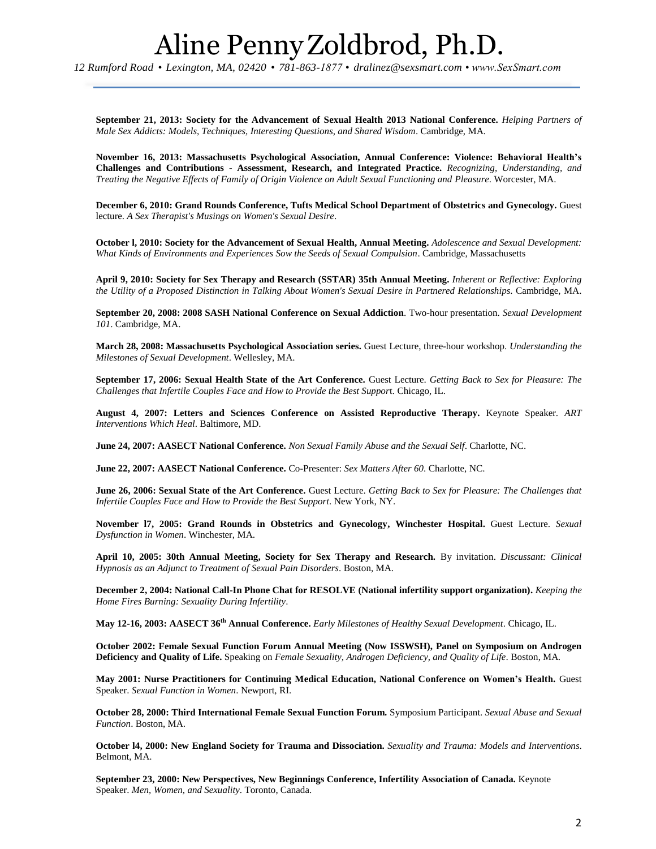*12 Rumford Road • Lexington, MA, 02420 • 781-863-1877 • [dralinez@sexsmart.com](mailto:mslovin@gmail.com) • www.SexSmart.com*

**September 21, 2013: Society for the Advancement of Sexual Health 2013 National Conference.** *Helping Partners of Male Sex Addicts: Models, Techniques, Interesting Questions, and Shared Wisdom*. Cambridge, MA.

**November 16, 2013: Massachusetts Psychological Association, Annual Conference: Violence: Behavioral Health's Challenges and Contributions - Assessment, Research, and Integrated Practice.** *Recognizing, Understanding, and Treating the Negative Effects of Family of Origin Violence on Adult Sexual Functioning and Pleasure*. Worcester, MA.

**December 6, 2010: Grand Rounds Conference, Tufts Medical School Department of Obstetrics and Gynecology.** Guest lecture. *A Sex Therapist's Musings on Women's Sexual Desire*.

**October l, 2010: Society for the Advancement of Sexual Health, Annual Meeting.** *Adolescence and Sexual Development: What Kinds of Environments and Experiences Sow the Seeds of Sexual Compulsion*. Cambridge, Massachusetts

**April 9, 2010: Society for Sex Therapy and Research (SSTAR) 35th Annual Meeting.** *Inherent or Reflective: Exploring the Utility of a Proposed Distinction in Talking About Women's Sexual Desire in Partnered Relationships*. Cambridge, MA.

**September 20, 2008: 2008 SASH National Conference on Sexual Addiction**. Two-hour presentation. *Sexual Development 101*. Cambridge, MA.

**March 28, 2008: Massachusetts Psychological Association series.** Guest Lecture, three-hour workshop. *Understanding the Milestones of Sexual Development*. Wellesley, MA.

**September 17, 2006: Sexual Health State of the Art Conference.** Guest Lecture. *Getting Back to Sex for Pleasure: The Challenges that Infertile Couples Face and How to Provide the Best Suppor*t. Chicago, IL.

**August 4, 2007: Letters and Sciences Conference on Assisted Reproductive Therapy.** Keynote Speaker. *ART Interventions Which Heal*. Baltimore, MD.

**June 24, 2007: AASECT National Conference.** *Non Sexual Family Abuse and the Sexual Self*. Charlotte, NC.

**June 22, 2007: AASECT National Conference.** Co-Presenter: *Sex Matters After 60*. Charlotte, NC.

**June 26, 2006: Sexual State of the Art Conference.** Guest Lecture. *Getting Back to Sex for Pleasure: The Challenges that Infertile Couples Face and How to Provide the Best Support*. New York, NY.

**November l7, 2005: Grand Rounds in Obstetrics and Gynecology, Winchester Hospital.** Guest Lecture. *Sexual Dysfunction in Women*. Winchester, MA.

**April 10, 2005: 30th Annual Meeting, Society for Sex Therapy and Research.** By invitation. *Discussant: Clinical Hypnosis as an Adjunct to Treatment of Sexual Pain Disorders*. Boston, MA.

**December 2, 2004: National Call-In Phone Chat for RESOLVE (National infertility support organization).** *Keeping the Home Fires Burning: Sexuality During Infertility*.

**May 12-16, 2003: AASECT 36th Annual Conference.** *Early Milestones of Healthy Sexual Development*. Chicago, IL.

**October 2002: Female Sexual Function Forum Annual Meeting (Now ISSWSH), Panel on Symposium on Androgen Deficiency and Quality of Life.** Speaking on *Female Sexuality, Androgen Deficiency, and Quality of Life*. Boston, MA*.*

**May 2001: Nurse Practitioners for Continuing Medical Education, National Conference on Women's Health.** Guest Speaker. *Sexual Function in Women*. Newport, RI.

**October 28, 2000: Third International Female Sexual Function Forum.** Symposium Participant. *Sexual Abuse and Sexual Function*. Boston, MA.

**October l4, 2000: New England Society for Trauma and Dissociation.** *Sexuality and Trauma: Models and Interventions*. Belmont, MA.

**September 23, 2000: New Perspectives, New Beginnings Conference, Infertility Association of Canada.** Keynote Speaker. *Men, Women, and Sexuality*. Toronto, Canada.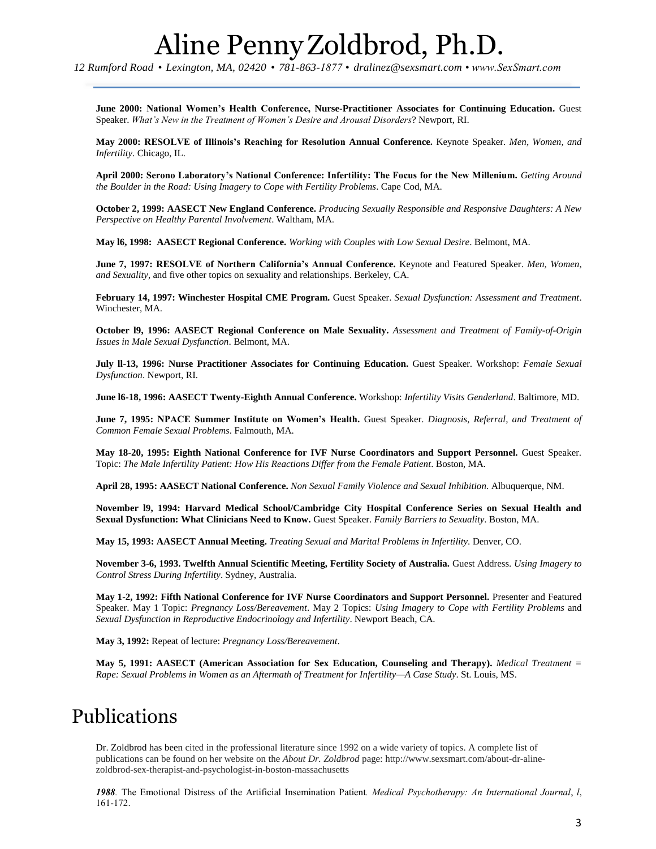*12 Rumford Road • Lexington, MA, 02420 • 781-863-1877 • [dralinez@sexsmart.com](mailto:mslovin@gmail.com) • www.SexSmart.com*

**June 2000: National Women's Health Conference, Nurse-Practitioner Associates for Continuing Education.** Guest Speaker. *What's New in the Treatment of Women's Desire and Arousal Disorders*? Newport, RI.

**May 2000: RESOLVE of Illinois's Reaching for Resolution Annual Conference.** Keynote Speaker. *Men, Women, and Infertility*. Chicago, IL.

**April 2000: Serono Laboratory's National Conference: Infertility: The Focus for the New Millenium.** *Getting Around the Boulder in the Road: Using Imagery to Cope with Fertility Problems*. Cape Cod, MA.

**October 2, 1999: AASECT New England Conference.** *Producing Sexually Responsible and Responsive Daughters: A New Perspective on Healthy Parental Involvement*. Waltham, MA.

**May l6, 1998: AASECT Regional Conference.** *Working with Couples with Low Sexual Desire*. Belmont, MA.

**June 7, 1997: RESOLVE of Northern California's Annual Conference.** Keynote and Featured Speaker. *Men, Women, and Sexuality*, and five other topics on sexuality and relationships. Berkeley, CA.

**February 14, 1997: Winchester Hospital CME Program.** Guest Speaker. *Sexual Dysfunction: Assessment and Treatment*. Winchester, MA.

**October l9, 1996: AASECT Regional Conference on Male Sexuality.** *Assessment and Treatment of Family-of-Origin Issues in Male Sexual Dysfunction*. Belmont, MA.

**July ll-13, 1996: Nurse Practitioner Associates for Continuing Education.** Guest Speaker. Workshop: *Female Sexual Dysfunction*. Newport, RI.

**June l6-18, 1996: AASECT Twenty-Eighth Annual Conference.** Workshop: *Infertility Visits Genderland*. Baltimore, MD.

**June 7, 1995: NPACE Summer Institute on Women's Health.** Guest Speaker. *Diagnosis, Referral, and Treatment of Common Female Sexual Problems*. Falmouth, MA.

**May 18-20, 1995: Eighth National Conference for IVF Nurse Coordinators and Support Personnel.** Guest Speaker. Topic: *The Male Infertility Patient: How His Reactions Differ from the Female Patient*. Boston, MA.

**April 28, 1995: AASECT National Conference.** *Non Sexual Family Violence and Sexual Inhibition*. Albuquerque, NM.

**November l9, 1994: Harvard Medical School/Cambridge City Hospital Conference Series on Sexual Health and Sexual Dysfunction: What Clinicians Need to Know.** Guest Speaker. *Family Barriers to Sexuality*. Boston, MA.

**May 15, 1993: AASECT Annual Meeting.** *Treating Sexual and Marital Problems in Infertility*. Denver, CO.

**November 3-6, 1993. Twelfth Annual Scientific Meeting, Fertility Society of Australia.** Guest Address. *Using Imagery to Control Stress During Infertility*. Sydney, Australia.

**May 1-2, 1992: Fifth National Conference for IVF Nurse Coordinators and Support Personnel.** Presenter and Featured Speaker. May 1 Topic: *Pregnancy Loss/Bereavement*. May 2 Topics: *Using Imagery to Cope with Fertility Problems* and *Sexual Dysfunction in Reproductive Endocrinology and Infertility*. Newport Beach, CA.

**May 3, 1992:** Repeat of lecture: *Pregnancy Loss/Bereavement*.

**May 5, 1991: AASECT (American Association for Sex Education, Counseling and Therapy).** *Medical Treatment = Rape: Sexual Problems in Women as an Aftermath of Treatment for Infertility—A Case Study*. St. Louis, MS.

#### Publications

Dr. Zoldbrod has been cited in the professional literature since 1992 on a wide variety of topics. A complete list of publications can be found on her website on the *About Dr. Zoldbrod* page: http://www.sexsmart.com/about-dr-alinezoldbrod-sex-therapist-and-psychologist-in-boston-massachusetts

*1988.* The Emotional Distress of the Artificial Insemination Patient*. Medical Psychotherapy: An International Journal*, *l*, 161-172.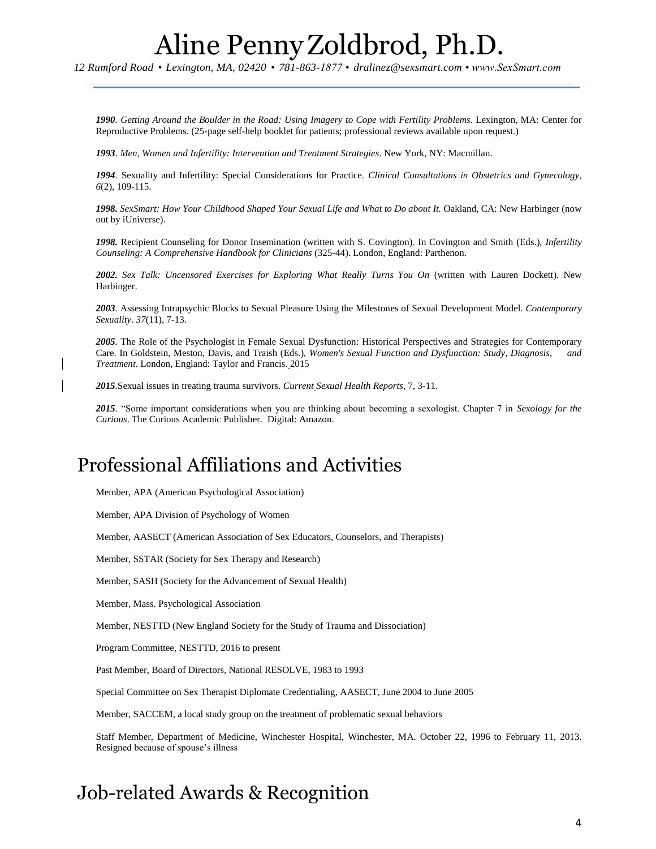*12 Rumford Road • Lexington, MA, 02420 • 781-863-1877 • [dralinez@sexsmart.com](mailto:mslovin@gmail.com) • www.SexSmart.com*

*1990. Getting Around the Boulder in the Road: Using Imagery to Cope with Fertility Problems*. Lexington, MA: Center for Reproductive Problems. (25-page self-help booklet for patients; professional reviews available upon request.)

*1993*. *Men, Women and Infertility: Intervention and Treatment Strategies*. New York, NY: Macmillan.

*1994.* Sexuality and Infertility: Special Considerations for Practice. *Clinical Consultations in Obstetrics and Gynecology*, *6*(2), 109-115.

*1998. SexSmart: How Your Childhood Shaped Your Sexual Life and What to Do about It.* Oakland, CA: New Harbinger (now out by iUniverse).

*1998.* Recipient Counseling for Donor Insemination (written with S. Covington). In Covington and Smith (Eds.), *Infertility Counseling: A Comprehensive Handbook for Clinicians* (325-44). London, England: Parthenon.

*2002. Sex Talk: Uncensored Exercises for Exploring What Really Turns You On* (written with Lauren Dockett). New Harbinger.

*2003.* Assessing Intrapsychic Blocks to Sexual Pleasure Using the Milestones of Sexual Development Model. *Contemporary Sexuality*. *37*(11), 7-13.

*2005.* The Role of the Psychologist in Female Sexual Dysfunction: Historical Perspectives and Strategies for Contemporary Care. In Goldstein, Meston, Davis, and Traish (Eds.), *Women's Sexual Function and Dysfunction: Study, Diagnosis, and Treatment*. London, England: Taylor and Francis. 2015

*2015.*Sexual issues in treating trauma survivors*. Current Sexual Health Reports*, 7, 3-11.

*2015.* "Some important considerations when you are thinking about becoming a sexologist. Chapter 7 in *Sexology for the Curious*. The Curious Academic Publisher. Digital: Amazon.

#### Professional Affiliations and Activities

Member, APA (American Psychological Association)

Member, APA Division of Psychology of Women

Member, AASECT (American Association of Sex Educators, Counselors, and Therapists)

Member, SSTAR (Society for Sex Therapy and Research)

Member, SASH (Society for the Advancement of Sexual Health)

Member, Mass. Psychological Association

Member, NESTTD (New England Society for the Study of Trauma and Dissociation)

Program Committee, NESTTD, 2016 to present

Past Member, Board of Directors, National RESOLVE, 1983 to 1993

Special Committee on Sex Therapist Diplomate Credentialing, AASECT, June 2004 to June 2005

Member, SACCEM, a local study group on the treatment of problematic sexual behaviors

Staff Member, Department of Medicine, Winchester Hospital, Winchester, MA. October 22, 1996 to February 11, 2013. Resigned because of spouse's illness

#### Job-related Awards & Recognition